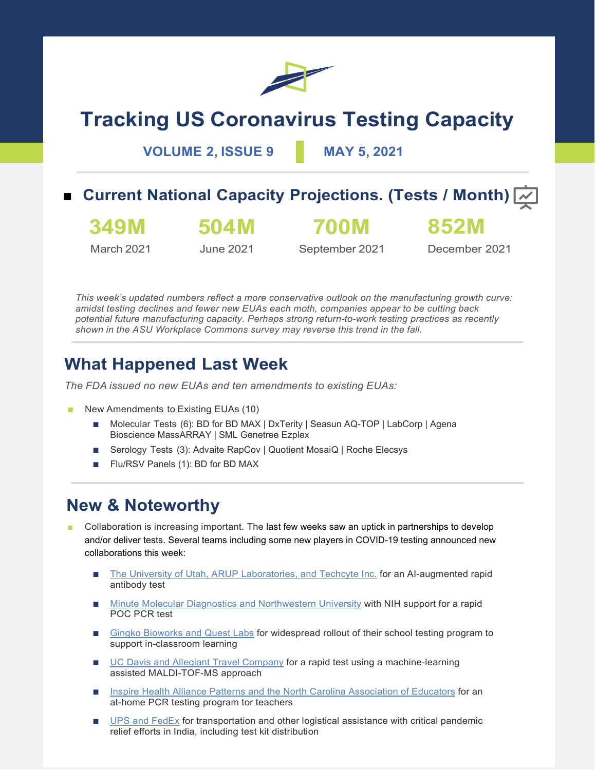

# **Tracking US Coronavirus Testing Capacity**

**VOLUME 2, ISSUE 9 MAY 5, 2021**

## ■ **Current National Capacity Projections. (Tests / Month)**  $\overline{w}$

**349M** March 2021 **504M** June 2021 **700M**

September 2021

December 2021

**852M**

*This week's updated numbers reflect a more conservative outlook on the manufacturing growth curve: amidst testing declines and fewer new EUAs each moth, companies appear to be cutting back potential future manufacturing capacity. Perhaps strong return-to-work testing practices as recently shown in the ASU Workplace Commons survey may reverse this trend in the fall.*

# **What Happened Last Week**

*The FDA issued no new EUAs and ten amendments to existing EUAs:*

- New Amendments to Existing EUAs (10)
	- Molecular Tests (6): BD for BD MAX | DxTerity | Seasun AQ-TOP | LabCorp | Agena Bioscience MassARRAY | SML Genetree Ezplex
	- Serology Tests (3): Advaite RapCov | Quotient MosaiQ | Roche Elecsys
	- Flu/RSV Panels (1): BD for BD MAX

### **New & Noteworthy**

- Collaboration is increasing important. The last few weeks saw an uptick in partnerships to develop and/or deliver tests. Several teams including some new players in COVID-19 testing announced new collaborations this week:
	- [The University of Utah, ARUP Laboratories, and Techcyte Inc.](https://healthitanalytics.com/news/artificial-intelligence-powers-rapid-covid-19-antibody-test) for an AI-augmented rapid antibody test
	- [Minute Molecular Diagnostics and Northwestern University](https://www.mccormick.northwestern.edu/news/articles/2021/04/northwestern-spinoff-receives-twenty-one-point-three-million-from-nih-to-manufacture-covid-19-test/) with NIH support for a rapid POC PCR test
	- [Gingko Bioworks and Quest Labs](https://synbiobeta.com/ginkgo-bioworks-teams-with-quest-diagnostics-to-provide-covid-19-testing-for-k-12-schools-nationwide/) for widespread rollout of their school testing program to support in-classroom learning
	- [UC Davis and Allegiant Travel Company](https://www.eurekalert.org/pub_releases/2021-04/uoc--nrc042621.php) for a rapid test using a machine-learning assisted MALDI-TOF-MS approach
	- [Inspire Health Alliance Patterns and the North Carolina Association of Educators](https://www.businesswire.com/news/home/20210504005477/en/Inspire-Health-Alliance-Partners-With-North-Carolina-Association-of-Educators-to-Bring-At-Home-COVID-19-Testing-Solution-to-Public-School-Employees) for an at-home PCR testing program tor teachers
	- [UPS and FedEx](https://www.cnbc.com/2021/05/05/covid-crisis-in-india-ups-and-fedex-mobilize-their-logistics-networks.html) for transportation and other logistical assistance with critical pandemic relief efforts in India, including test kit distribution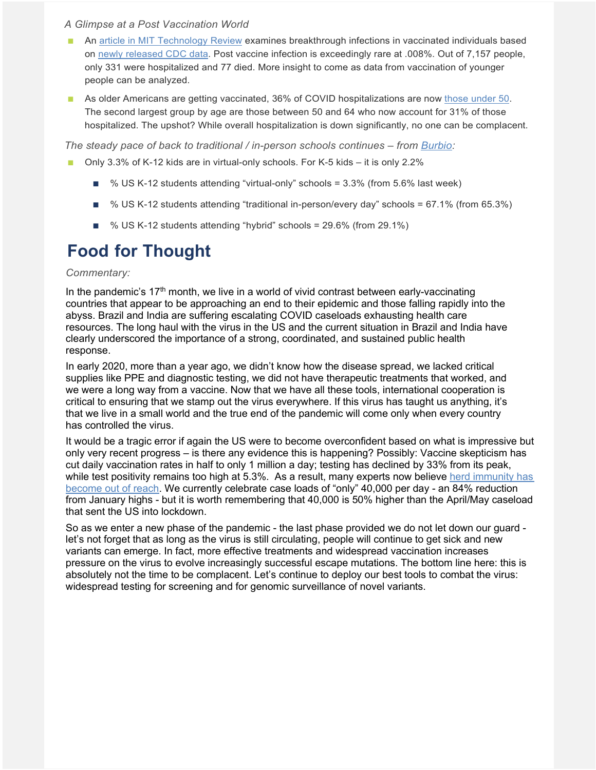#### *A Glimpse at a Post Vaccination World*

- An [article in MIT Technology Review](https://www.technologyreview.com/2021/04/29/1024301/vaccines-covid-breakthrough-infections-immunity-cdc/?truid=*%7CLINKID%7C*&utm_source=coronavirus&utm_medium=email&utm_campaign=coronavirus.unpaid.engagement&utm_content=*%7CDATE:m-d-Y%7C*&mc_cid=81f7e859e1&mc_eid=1c7a6d1d16) examines breakthrough infections in vaccinated individuals based on [newly released CDC data.](https://www.cdc.gov/vaccines/covid-19/health-departments/breakthrough-cases.html) Post vaccine infection is exceedingly rare at .008%. Out of 7,157 people, only 331 were hospitalized and 77 died. More insight to come as data from vaccination of younger people can be analyzed.
- As older Americans are getting vaccinated, 36% of COVID hospitalizations are now [those under 50.](https://www.medscape.com/viewarticle/950494?src=mkm_covid_update_210504_MSCPEDIT&uac=158276FX&impID=3353126&faf=1) The second largest group by age are those between 50 and 64 who now account for 31% of those hospitalized. The upshot? While overall hospitalization is down significantly, no one can be complacent.

*The steady pace of back to traditional / in-person schools continues – from [Burbio:](https://info.burbio.com/school-tracker-update-may-03/)*

- Only 3.3% of K-12 kids are in virtual-only schools. For K-5 kids it is only 2.2%
	- % US K-12 students attending "virtual-only" schools = 3.3% (from 5.6% last week)
	- % US K-12 students attending "traditional in-person/every day" schools = 67.1% (from 65.3%)
	- % US K-12 students attending "hybrid" schools = 29.6% (from 29.1%)

# **Food for Thought**

#### *Commentary:*

In the pandemic's  $17<sup>th</sup>$  month, we live in a world of vivid contrast between early-vaccinating countries that appear to be approaching an end to their epidemic and those falling rapidly into the abyss. Brazil and India are suffering escalating COVID caseloads exhausting health care resources. The long haul with the virus in the US and the current situation in Brazil and India have clearly underscored the importance of a strong, coordinated, and sustained public health response.

In early 2020, more than a year ago, we didn't know how the disease spread, we lacked critical supplies like PPE and diagnostic testing, we did not have therapeutic treatments that worked, and we were a long way from a vaccine. Now that we have all these tools, international cooperation is critical to ensuring that we stamp out the virus everywhere. If this virus has taught us anything, it's that we live in a small world and the true end of the pandemic will come only when every country has controlled the virus.

It would be a tragic error if again the US were to become overconfident based on what is impressive but only very recent progress – is there any evidence this is happening? Possibly: Vaccine skepticism has cut daily vaccination rates in half to only 1 million a day; testing has declined by 33% from its peak, while test positivity remains too high at 5.3%. As a result, many experts now believe herd immunity has [become out of reach.](https://www.nytimes.com/2021/05/03/health/covid-herd-immunity-vaccine.html) We currently celebrate case loads of "only" 40,000 per day - an 84% reduction from January highs - but it is worth remembering that 40,000 is 50% higher than the April/May caseload that sent the US into lockdown.

So as we enter a new phase of the pandemic - the last phase provided we do not let down our guard let's not forget that as long as the virus is still circulating, people will continue to get sick and new variants can emerge. In fact, more effective treatments and widespread vaccination increases pressure on the virus to evolve increasingly successful escape mutations. The bottom line here: this is absolutely not the time to be complacent. Let's continue to deploy our best tools to combat the virus: widespread testing for screening and for genomic surveillance of novel variants.